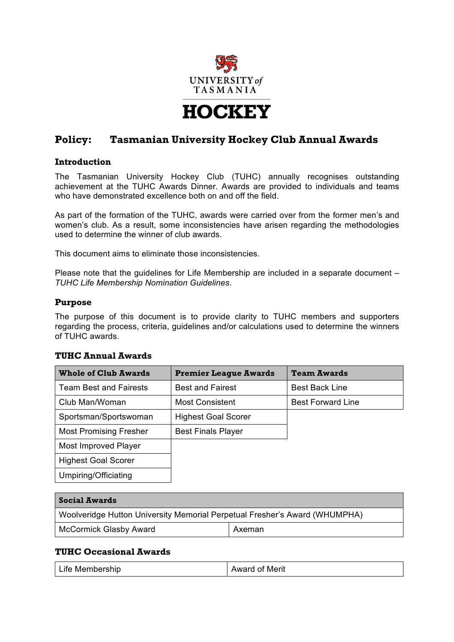

# **Policy: Tasmanian University Hockey Club Annual Awards**

#### **Introduction**

The Tasmanian University Hockey Club (TUHC) annually recognises outstanding achievement at the TUHC Awards Dinner. Awards are provided to individuals and teams who have demonstrated excellence both on and off the field.

As part of the formation of the TUHC, awards were carried over from the former men's and women's club. As a result, some inconsistencies have arisen regarding the methodologies used to determine the winner of club awards.

This document aims to eliminate those inconsistencies.

Please note that the guidelines for Life Membership are included in a separate document – *TUHC Life Membership Nomination Guidelines*.

#### **Purpose**

The purpose of this document is to provide clarity to TUHC members and supporters regarding the process, criteria, guidelines and/or calculations used to determine the winners of TUHC awards.

### **TUHC Annual Awards**

| <b>Whole of Club Awards</b>   | <b>Premier League Awards</b> | <b>Team Awards</b>       |
|-------------------------------|------------------------------|--------------------------|
| <b>Team Best and Fairests</b> | <b>Best and Fairest</b>      | <b>Best Back Line</b>    |
| Club Man/Woman                | <b>Most Consistent</b>       | <b>Best Forward Line</b> |
| Sportsman/Sportswoman         | <b>Highest Goal Scorer</b>   |                          |
| <b>Most Promising Fresher</b> | <b>Best Finals Player</b>    |                          |
| Most Improved Player          |                              |                          |
| <b>Highest Goal Scorer</b>    |                              |                          |
| Umpiring/Officiating          |                              |                          |

| <b>Social Awards</b>                                                       |        |
|----------------------------------------------------------------------------|--------|
| Woolveridge Hutton University Memorial Perpetual Fresher's Award (WHUMPHA) |        |
| <b>McCormick Glasby Award</b>                                              | Axeman |

### **TUHC Occasional Awards**

| Life Membership<br><b>Award of Merit</b> |
|------------------------------------------|
|------------------------------------------|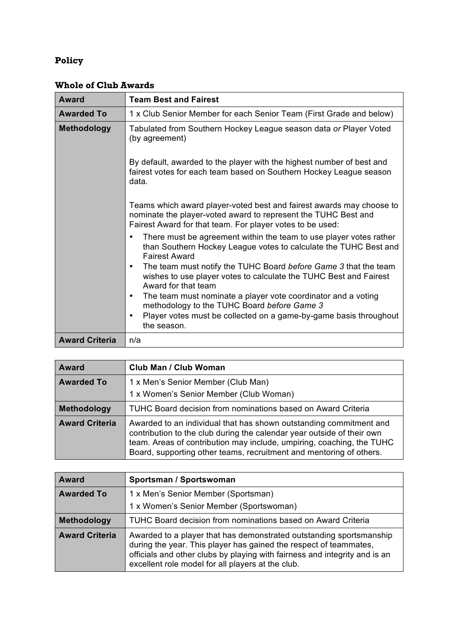# **Policy**

| <b>Award</b>          | <b>Team Best and Fairest</b>                                                                                                                                                                        |
|-----------------------|-----------------------------------------------------------------------------------------------------------------------------------------------------------------------------------------------------|
| <b>Awarded To</b>     | 1 x Club Senior Member for each Senior Team (First Grade and below)                                                                                                                                 |
| <b>Methodology</b>    | Tabulated from Southern Hockey League season data or Player Voted<br>(by agreement)                                                                                                                 |
|                       | By default, awarded to the player with the highest number of best and<br>fairest votes for each team based on Southern Hockey League season<br>data.                                                |
|                       | Teams which award player-voted best and fairest awards may choose to<br>nominate the player-voted award to represent the TUHC Best and<br>Fairest Award for that team. For player votes to be used: |
|                       | There must be agreement within the team to use player votes rather<br>$\bullet$<br>than Southern Hockey League votes to calculate the TUHC Best and<br><b>Fairest Award</b>                         |
|                       | The team must notify the TUHC Board before Game 3 that the team<br>$\bullet$<br>wishes to use player votes to calculate the TUHC Best and Fairest<br>Award for that team                            |
|                       | The team must nominate a player vote coordinator and a voting<br>$\bullet$<br>methodology to the TUHC Board before Game 3                                                                           |
|                       | Player votes must be collected on a game-by-game basis throughout<br>$\bullet$<br>the season.                                                                                                       |
| <b>Award Criteria</b> | n/a                                                                                                                                                                                                 |

## **Whole of Club Awards**

| Award                 | <b>Club Man / Club Woman</b>                                                                                                                                                                                                                                                                 |
|-----------------------|----------------------------------------------------------------------------------------------------------------------------------------------------------------------------------------------------------------------------------------------------------------------------------------------|
| <b>Awarded To</b>     | 1 x Men's Senior Member (Club Man)                                                                                                                                                                                                                                                           |
|                       | 1 x Women's Senior Member (Club Woman)                                                                                                                                                                                                                                                       |
| Methodology           | TUHC Board decision from nominations based on Award Criteria                                                                                                                                                                                                                                 |
| <b>Award Criteria</b> | Awarded to an individual that has shown outstanding commitment and<br>contribution to the club during the calendar year outside of their own<br>team. Areas of contribution may include, umpiring, coaching, the TUHC<br>Board, supporting other teams, recruitment and mentoring of others. |

| Award                 | Sportsman / Sportswoman                                                                                                                                                                                                                                                     |
|-----------------------|-----------------------------------------------------------------------------------------------------------------------------------------------------------------------------------------------------------------------------------------------------------------------------|
| <b>Awarded To</b>     | 1 x Men's Senior Member (Sportsman)<br>1 x Women's Senior Member (Sportswoman)                                                                                                                                                                                              |
| Methodology           | TUHC Board decision from nominations based on Award Criteria                                                                                                                                                                                                                |
| <b>Award Criteria</b> | Awarded to a player that has demonstrated outstanding sportsmanship<br>during the year. This player has gained the respect of teammates,<br>officials and other clubs by playing with fairness and integrity and is an<br>excellent role model for all players at the club. |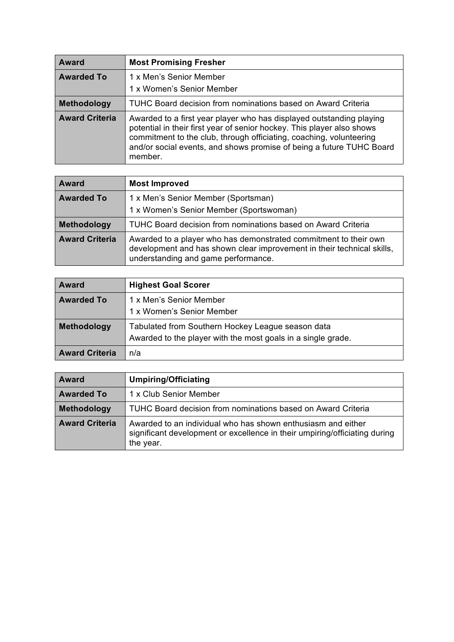| Award                 | <b>Most Promising Fresher</b>                                                                                                                                                                                                                                                                            |
|-----------------------|----------------------------------------------------------------------------------------------------------------------------------------------------------------------------------------------------------------------------------------------------------------------------------------------------------|
| <b>Awarded To</b>     | 1 x Men's Senior Member<br>1 x Women's Senior Member                                                                                                                                                                                                                                                     |
| Methodology           | TUHC Board decision from nominations based on Award Criteria                                                                                                                                                                                                                                             |
| <b>Award Criteria</b> | Awarded to a first year player who has displayed outstanding playing<br>potential in their first year of senior hockey. This player also shows<br>commitment to the club, through officiating, coaching, volunteering<br>and/or social events, and shows promise of being a future TUHC Board<br>member. |

| <b>Award</b>          | <b>Most Improved</b>                                                                                                                                                              |
|-----------------------|-----------------------------------------------------------------------------------------------------------------------------------------------------------------------------------|
| <b>Awarded To</b>     | 1 x Men's Senior Member (Sportsman)                                                                                                                                               |
|                       | 1 x Women's Senior Member (Sportswoman)                                                                                                                                           |
| Methodology           | TUHC Board decision from nominations based on Award Criteria                                                                                                                      |
| <b>Award Criteria</b> | Awarded to a player who has demonstrated commitment to their own<br>development and has shown clear improvement in their technical skills,<br>understanding and game performance. |

| <b>Award</b>          | <b>Highest Goal Scorer</b>                                                                                        |
|-----------------------|-------------------------------------------------------------------------------------------------------------------|
| <b>Awarded To</b>     | 1 x Men's Senior Member<br>1 x Women's Senior Member                                                              |
| Methodology           | Tabulated from Southern Hockey League season data<br>Awarded to the player with the most goals in a single grade. |
| <b>Award Criteria</b> | n/a                                                                                                               |

| <b>Award</b>          | <b>Umpiring/Officiating</b>                                                                                                                             |
|-----------------------|---------------------------------------------------------------------------------------------------------------------------------------------------------|
| <b>Awarded To</b>     | 1 x Club Senior Member                                                                                                                                  |
| Methodology           | TUHC Board decision from nominations based on Award Criteria                                                                                            |
| <b>Award Criteria</b> | Awarded to an individual who has shown enthusiasm and either<br>significant development or excellence in their umpiring/officiating during<br>the year. |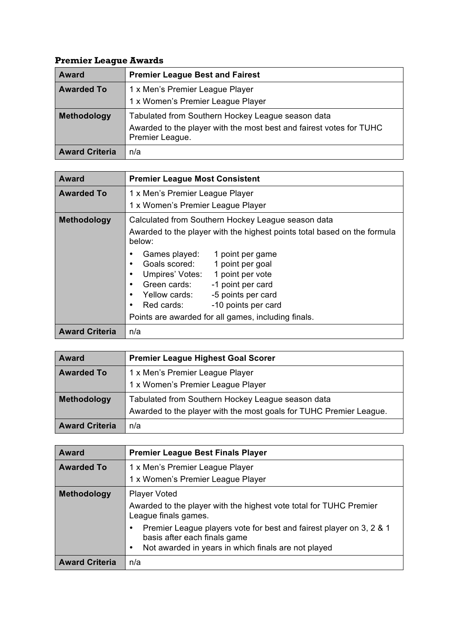# **Premier League Awards**

| <b>Award</b>          | <b>Premier League Best and Fairest</b>                                                                                                      |
|-----------------------|---------------------------------------------------------------------------------------------------------------------------------------------|
| <b>Awarded To</b>     | 1 x Men's Premier League Player                                                                                                             |
|                       | 1 x Women's Premier League Player                                                                                                           |
| Methodology           | Tabulated from Southern Hockey League season data<br>Awarded to the player with the most best and fairest votes for TUHC<br>Premier League. |
| <b>Award Criteria</b> | n/a                                                                                                                                         |

| <b>Award</b>          | <b>Premier League Most Consistent</b>                                                                                                                                                                                                                                                                                               |
|-----------------------|-------------------------------------------------------------------------------------------------------------------------------------------------------------------------------------------------------------------------------------------------------------------------------------------------------------------------------------|
| <b>Awarded To</b>     | 1 x Men's Premier League Player                                                                                                                                                                                                                                                                                                     |
|                       | 1 x Women's Premier League Player                                                                                                                                                                                                                                                                                                   |
| Methodology           | Calculated from Southern Hockey League season data                                                                                                                                                                                                                                                                                  |
|                       | Awarded to the player with the highest points total based on the formula<br>below:                                                                                                                                                                                                                                                  |
|                       | 1 point per game<br>Games played:<br>٠<br>Goals scored:<br>1 point per goal<br>$\bullet$<br>Umpires' Votes:<br>1 point per vote<br>٠<br>Green cards:<br>-1 point per card<br>٠<br>-5 points per card<br>Yellow cards:<br>$\bullet$<br>-10 points per card<br>Red cards:<br>٠<br>Points are awarded for all games, including finals. |
| <b>Award Criteria</b> | n/a                                                                                                                                                                                                                                                                                                                                 |

| <b>Award</b>          | <b>Premier League Highest Goal Scorer</b>                          |
|-----------------------|--------------------------------------------------------------------|
| <b>Awarded To</b>     | 1 x Men's Premier League Player                                    |
|                       | 1 x Women's Premier League Player                                  |
| Methodology           | Tabulated from Southern Hockey League season data                  |
|                       | Awarded to the player with the most goals for TUHC Premier League. |
| <b>Award Criteria</b> | n/a                                                                |

| <b>Award</b>          | <b>Premier League Best Finals Player</b>                                                            |
|-----------------------|-----------------------------------------------------------------------------------------------------|
| <b>Awarded To</b>     | 1 x Men's Premier League Player                                                                     |
|                       | 1 x Women's Premier League Player                                                                   |
| Methodology           | <b>Player Voted</b>                                                                                 |
|                       | Awarded to the player with the highest vote total for TUHC Premier<br>League finals games.          |
|                       | Premier League players vote for best and fairest player on 3, 2 & 1<br>basis after each finals game |
|                       | Not awarded in years in which finals are not played<br>٠                                            |
| <b>Award Criteria</b> | n/a                                                                                                 |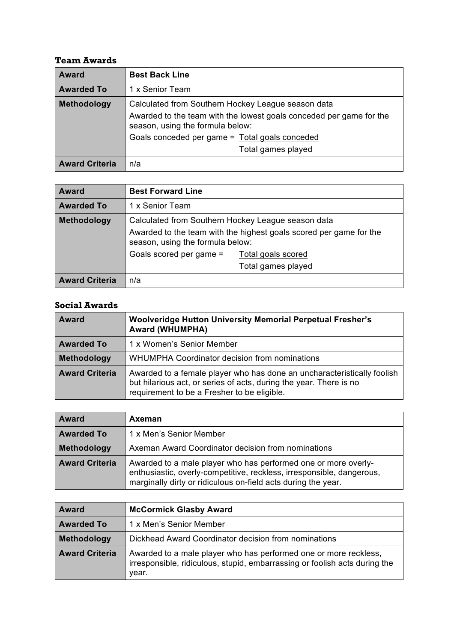### **Team Awards**

| <b>Award</b>          | <b>Best Back Line</b>                                                                                   |
|-----------------------|---------------------------------------------------------------------------------------------------------|
| <b>Awarded To</b>     | 1 x Senior Team                                                                                         |
| Methodology           | Calculated from Southern Hockey League season data                                                      |
|                       | Awarded to the team with the lowest goals conceded per game for the<br>season, using the formula below: |
|                       | Goals conceded per game = Total goals conceded                                                          |
|                       | Total games played                                                                                      |
| <b>Award Criteria</b> | n/a                                                                                                     |

| <b>Award</b>          | <b>Best Forward Line</b>                                                                                                                                     |
|-----------------------|--------------------------------------------------------------------------------------------------------------------------------------------------------------|
| <b>Awarded To</b>     | 1 x Senior Team                                                                                                                                              |
| Methodology           | Calculated from Southern Hockey League season data<br>Awarded to the team with the highest goals scored per game for the<br>season, using the formula below: |
|                       | Goals scored per game =<br>Total goals scored<br>Total games played                                                                                          |
| <b>Award Criteria</b> | n/a                                                                                                                                                          |

### **Social Awards**

| <b>Award</b>          | Woolveridge Hutton University Memorial Perpetual Fresher's<br><b>Award (WHUMPHA)</b>                                                                                                         |
|-----------------------|----------------------------------------------------------------------------------------------------------------------------------------------------------------------------------------------|
| <b>Awarded To</b>     | 1 x Women's Senior Member                                                                                                                                                                    |
| Methodology           | WHUMPHA Coordinator decision from nominations                                                                                                                                                |
| <b>Award Criteria</b> | Awarded to a female player who has done an uncharacteristically foolish<br>but hilarious act, or series of acts, during the year. There is no<br>requirement to be a Fresher to be eligible. |

| <b>Award</b>          | Axeman                                                                                                                                                                                                   |
|-----------------------|----------------------------------------------------------------------------------------------------------------------------------------------------------------------------------------------------------|
| <b>Awarded To</b>     | 1 x Men's Senior Member                                                                                                                                                                                  |
| Methodology           | Axeman Award Coordinator decision from nominations                                                                                                                                                       |
| <b>Award Criteria</b> | Awarded to a male player who has performed one or more overly-<br>enthusiastic, overly-competitive, reckless, irresponsible, dangerous,<br>marginally dirty or ridiculous on-field acts during the year. |

| <b>Award</b>          | <b>McCormick Glasby Award</b>                                                                                                                           |
|-----------------------|---------------------------------------------------------------------------------------------------------------------------------------------------------|
| <b>Awarded To</b>     | 1 x Men's Senior Member                                                                                                                                 |
| <b>Methodology</b>    | Dickhead Award Coordinator decision from nominations                                                                                                    |
| <b>Award Criteria</b> | Awarded to a male player who has performed one or more reckless,<br>irresponsible, ridiculous, stupid, embarrassing or foolish acts during the<br>vear. |